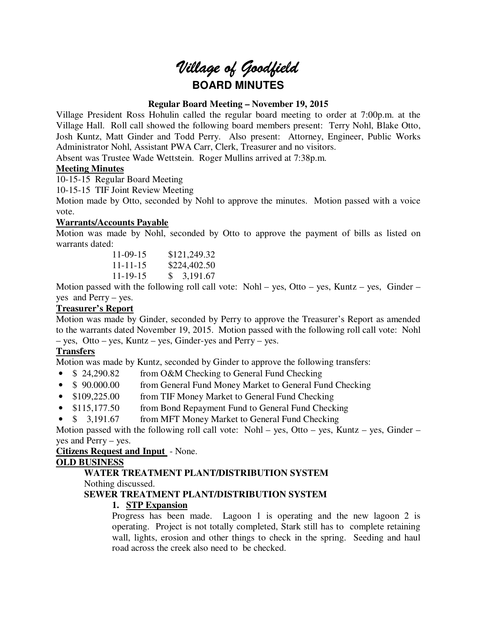# *Village of Goodfield* **BOARD MINUTES**

# **Regular Board Meeting – November 19, 2015**

Village President Ross Hohulin called the regular board meeting to order at 7:00p.m. at the Village Hall. Roll call showed the following board members present: Terry Nohl, Blake Otto, Josh Kuntz, Matt Ginder and Todd Perry. Also present: Attorney, Engineer, Public Works Administrator Nohl, Assistant PWA Carr, Clerk, Treasurer and no visitors.

Absent was Trustee Wade Wettstein. Roger Mullins arrived at 7:38p.m.

## **Meeting Minutes**

10-15-15 Regular Board Meeting

10-15-15 TIF Joint Review Meeting

Motion made by Otto, seconded by Nohl to approve the minutes. Motion passed with a voice vote.

# **Warrants/Accounts Payable**

Motion was made by Nohl, seconded by Otto to approve the payment of bills as listed on warrants dated:

| $11-09-15$     | \$121,249.32 |
|----------------|--------------|
| $11 - 11 - 15$ | \$224,402.50 |
| $11 - 19 - 15$ | \$3,191.67   |

Motion passed with the following roll call vote: Nohl – yes, Otto – yes, Kuntz – yes, Ginder – yes and Perry – yes.

# **Treasurer's Report**

Motion was made by Ginder, seconded by Perry to approve the Treasurer's Report as amended to the warrants dated November 19, 2015. Motion passed with the following roll call vote: Nohl – yes, Otto – yes, Kuntz – yes, Ginder-yes and Perry – yes.

# **Transfers**

Motion was made by Kuntz, seconded by Ginder to approve the following transfers:

- \$ 24,290.82 from O&M Checking to General Fund Checking
- \$ 90.000.00 from General Fund Money Market to General Fund Checking
- \$109,225.00 from TIF Money Market to General Fund Checking
- \$115,177.50 from Bond Repayment Fund to General Fund Checking
- \$ 3,191.67 from MFT Money Market to General Fund Checking

Motion passed with the following roll call vote: Nohl – yes, Otto – yes, Kuntz – yes, Ginder – yes and Perry – yes.

## **Citizens Request and Input** - None.

## **OLD BUSINESS**

# **WATER TREATMENT PLANT/DISTRIBUTION SYSTEM**

Nothing discussed.

# **SEWER TREATMENT PLANT/DISTRIBUTION SYSTEM**

# **1. STP Expansion**

Progress has been made. Lagoon 1 is operating and the new lagoon 2 is operating. Project is not totally completed, Stark still has to complete retaining wall, lights, erosion and other things to check in the spring. Seeding and haul road across the creek also need to be checked.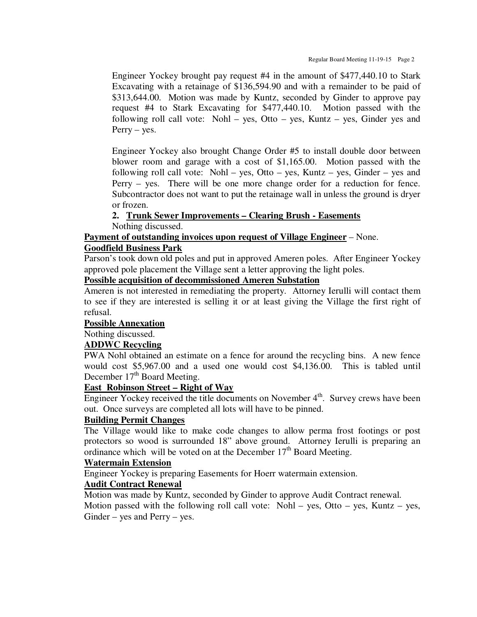Engineer Yockey brought pay request #4 in the amount of \$477,440.10 to Stark Excavating with a retainage of \$136,594.90 and with a remainder to be paid of \$313,644.00. Motion was made by Kuntz, seconded by Ginder to approve pay request #4 to Stark Excavating for \$477,440.10. Motion passed with the following roll call vote: Nohl – yes, Otto – yes, Kuntz – yes, Ginder yes and Perry – yes.

Engineer Yockey also brought Change Order #5 to install double door between blower room and garage with a cost of \$1,165.00. Motion passed with the following roll call vote: Nohl – yes, Otto – yes, Kuntz – yes, Ginder – yes and Perry – yes. There will be one more change order for a reduction for fence. Subcontractor does not want to put the retainage wall in unless the ground is dryer or frozen.

#### **2. Trunk Sewer Improvements – Clearing Brush - Easements**

Nothing discussed.

#### **Payment of outstanding invoices upon request of Village Engineer** – None.

#### **Goodfield Business Park**

Parson's took down old poles and put in approved Ameren poles. After Engineer Yockey approved pole placement the Village sent a letter approving the light poles.

## **Possible acquisition of decommissioned Ameren Substation**

Ameren is not interested in remediating the property. Attorney Ierulli will contact them to see if they are interested is selling it or at least giving the Village the first right of refusal.

#### **Possible Annexation**

Nothing discussed.

#### **ADDWC Recycling**

PWA Nohl obtained an estimate on a fence for around the recycling bins. A new fence would cost \$5,967.00 and a used one would cost \$4,136.00. This is tabled until December  $17<sup>th</sup>$  Board Meeting.

## **East Robinson Street – Right of Way**

Engineer Yockey received the title documents on November 4<sup>th</sup>. Survey crews have been out. Once surveys are completed all lots will have to be pinned.

## **Building Permit Changes**

The Village would like to make code changes to allow perma frost footings or post protectors so wood is surrounded 18" above ground. Attorney Ierulli is preparing an ordinance which will be voted on at the December  $17<sup>th</sup>$  Board Meeting.

#### **Watermain Extension**

Engineer Yockey is preparing Easements for Hoerr watermain extension.

## **Audit Contract Renewal**

Motion was made by Kuntz, seconded by Ginder to approve Audit Contract renewal.

Motion passed with the following roll call vote: Nohl – yes, Otto – yes, Kuntz – yes, Ginder – yes and Perry – yes.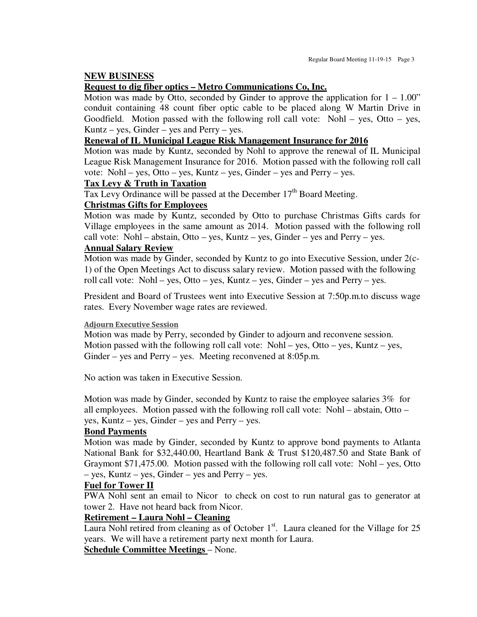#### **NEW BUSINESS**

## **Request to dig fiber optics – Metro Communications Co, Inc.**

Motion was made by Otto, seconded by Ginder to approve the application for  $1 - 1.00$ " conduit containing 48 count fiber optic cable to be placed along W Martin Drive in Goodfield. Motion passed with the following roll call vote: Nohl – yes, Otto – yes, Kuntz – yes, Ginder – yes and Perry – yes.

## **Renewal of IL Municipal League Risk Management Insurance for 2016**

Motion was made by Kuntz, seconded by Nohl to approve the renewal of IL Municipal League Risk Management Insurance for 2016. Motion passed with the following roll call vote: Nohl – yes, Otto – yes, Kuntz – yes, Ginder – yes and Perry – yes.

## **Tax Levy & Truth in Taxation**

Tax Levy Ordinance will be passed at the December  $17<sup>th</sup>$  Board Meeting.

#### **Christmas Gifts for Employees**

Motion was made by Kuntz, seconded by Otto to purchase Christmas Gifts cards for Village employees in the same amount as 2014. Motion passed with the following roll call vote: Nohl – abstain, Otto – yes, Kuntz – yes, Ginder – yes and Perry – yes.

## **Annual Salary Review**

Motion was made by Ginder, seconded by Kuntz to go into Executive Session, under 2(c-1) of the Open Meetings Act to discuss salary review. Motion passed with the following roll call vote: Nohl – yes, Otto – yes, Kuntz – yes, Ginder – yes and Perry – yes.

President and Board of Trustees went into Executive Session at 7:50p.m.to discuss wage rates. Every November wage rates are reviewed.

#### **Adjourn Executive Session**

Motion was made by Perry, seconded by Ginder to adjourn and reconvene session. Motion passed with the following roll call vote:  $Nohl - yes$ ,  $Otto - yes$ ,  $Kuntz - yes$ , Ginder – yes and Perry – yes. Meeting reconvened at 8:05p.m.

No action was taken in Executive Session.

Motion was made by Ginder, seconded by Kuntz to raise the employee salaries 3% for all employees. Motion passed with the following roll call vote: Nohl – abstain, Otto – yes, Kuntz – yes, Ginder – yes and Perry – yes.

#### **Bond Payments**

Motion was made by Ginder, seconded by Kuntz to approve bond payments to Atlanta National Bank for \$32,440.00, Heartland Bank & Trust \$120,487.50 and State Bank of Graymont \$71,475.00. Motion passed with the following roll call vote: Nohl – yes, Otto – yes, Kuntz – yes, Ginder – yes and Perry – yes.

## **Fuel for Tower II**

PWA Nohl sent an email to Nicor to check on cost to run natural gas to generator at tower 2. Have not heard back from Nicor.

#### **Retirement – Laura Nohl – Cleaning**

Laura Nohl retired from cleaning as of October  $1<sup>st</sup>$ . Laura cleaned for the Village for 25 years. We will have a retirement party next month for Laura.

# **Schedule Committee Meetings** – None.